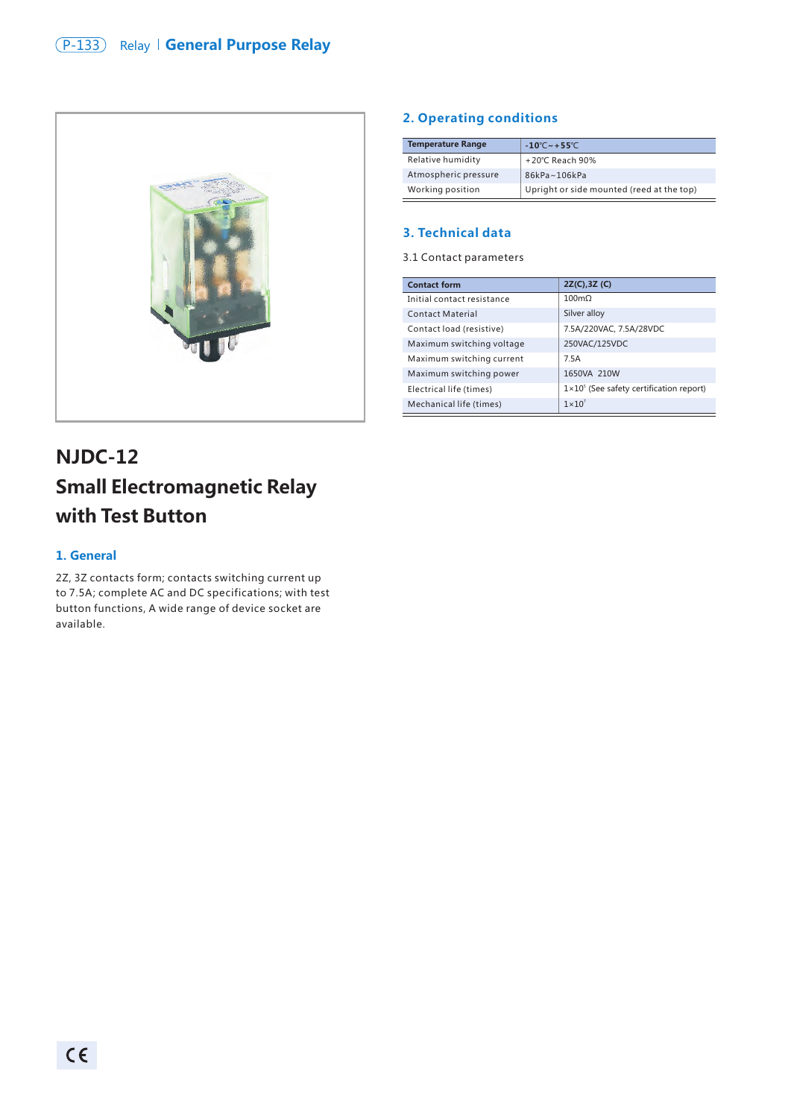

# **NJDC-12 Small Electromagnetic Relay with Test Button**

## **1. General**

2Z, 3Z contacts form; contacts switching current up to 7.5A; complete AC and DC specifications; with test button functions, A wide range of device socket are available.

### **2. Operating conditions**

| <b>Temperature Range</b> | $-10^{\circ}$ C ~ + 55 $^{\circ}$ C       |
|--------------------------|-------------------------------------------|
| Relative humidity        | $+20^{\circ}$ C Reach 90%                 |
| Atmospheric pressure     | $86kPa \sim 106kPa$                       |
| Working position         | Upright or side mounted (reed at the top) |

## **3. Technical data**

3.1 Contact parameters

| <b>Contact form</b>        | 2Z(C), 3Z (C)                                     |
|----------------------------|---------------------------------------------------|
| Initial contact resistance | 100 <sub>m</sub>                                  |
| <b>Contact Material</b>    | Silver alloy                                      |
| Contact load (resistive)   | 7.5A/220VAC, 7.5A/28VDC                           |
| Maximum switching voltage  | 250VAC/125VDC                                     |
| Maximum switching current  | 75A                                               |
| Maximum switching power    | 1650VA 210W                                       |
| Electrical life (times)    | $1\times10^{5}$ (See safety certification report) |
| Mechanical life (times)    | $1 \times 10^7$                                   |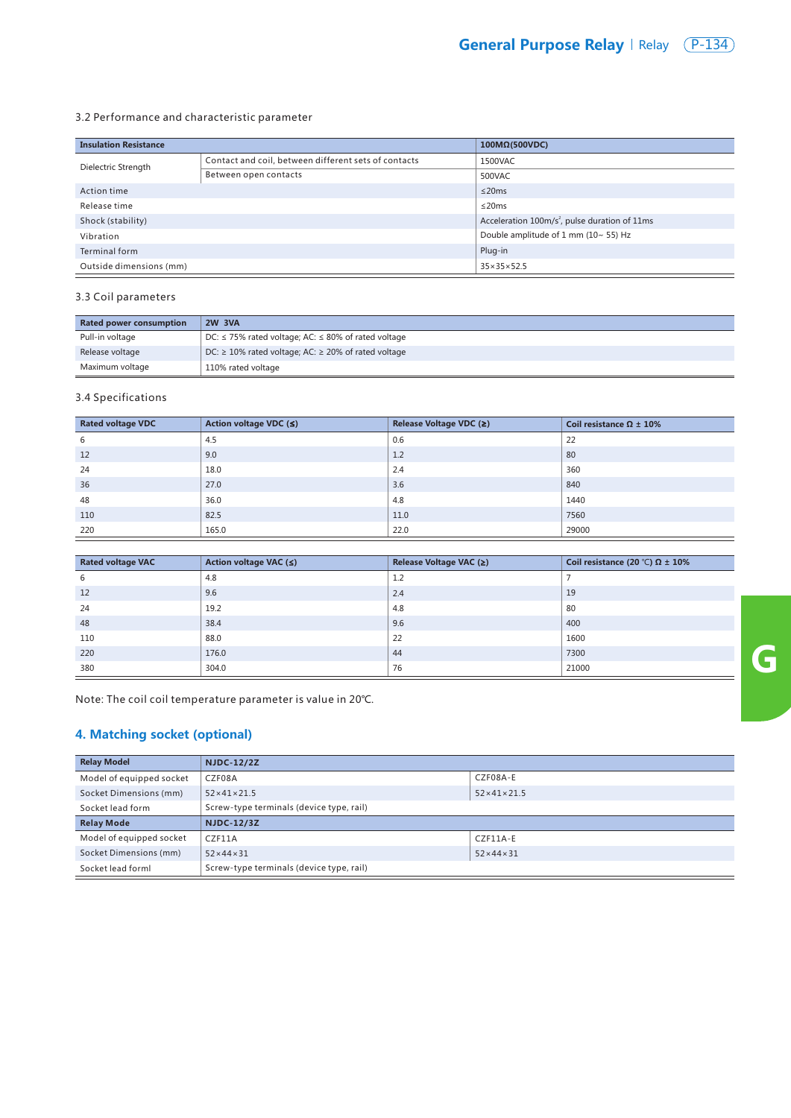#### 3.2 Performance and characteristic parameter

| <b>Insulation Resistance</b> |                                                      | $100M\Omega(500VDC)$                                      |
|------------------------------|------------------------------------------------------|-----------------------------------------------------------|
| Dielectric Strength          | Contact and coil, between different sets of contacts | 1500VAC                                                   |
|                              | Between open contacts                                | 500VAC                                                    |
| Action time                  |                                                      | $\leq$ 20ms                                               |
| Release time                 |                                                      | $\leq$ 20ms                                               |
| Shock (stability)            |                                                      | Acceleration 100m/s <sup>2</sup> , pulse duration of 11ms |
| Vibration                    |                                                      | Double amplitude of 1 mm (10~ 55) Hz                      |
| Terminal form                |                                                      | Plug-in                                                   |
| Outside dimensions (mm)      |                                                      | $35\times35\times52.5$                                    |

#### 3.3 Coil parameters

| Rated power consumption | <b>2W 3VA</b>                                                 |
|-------------------------|---------------------------------------------------------------|
| Pull-in voltage         | DC: $\leq$ 75% rated voltage; AC: $\leq$ 80% of rated voltage |
| Release voltage         | DC: $\geq$ 10% rated voltage; AC: $\geq$ 20% of rated voltage |
| Maximum voltage         | 110% rated voltage                                            |

#### 3.4 Specifications

| <b>Rated voltage VDC</b> | Action voltage VDC (≤) | Release Voltage VDC (≥) | Coil resistance Ω $±$ 10% |
|--------------------------|------------------------|-------------------------|---------------------------|
| 6                        | 4.5                    | 0.6                     | 22                        |
| 12                       | 9.0                    | 1.2                     | 80                        |
| 24                       | 18.0                   | 2.4                     | 360                       |
| 36                       | 27.0                   | 3.6                     | 840                       |
| 48                       | 36.0                   | 4.8                     | 1440                      |
| 110                      | 82.5                   | 11.0                    | 7560                      |
| 220                      | 165.0                  | 22.0                    | 29000                     |

| <b>Rated voltage VAC</b> | Action voltage VAC (≤) | Release Voltage VAC (≥) | Coil resistance (20 °C) $\Omega \pm 10\%$ |
|--------------------------|------------------------|-------------------------|-------------------------------------------|
| 6                        | 4.8                    | 1.2                     |                                           |
| 12                       | 9.6                    | 2.4                     | 19                                        |
| 24                       | 19.2                   | 4.8                     | 80                                        |
| 48                       | 38.4                   | 9.6                     | 400                                       |
| 110                      | 88.0                   | 22                      | 1600                                      |
| 220                      | 176.0                  | 44                      | 7300                                      |
| 380                      | 304.0                  | 76                      | 21000                                     |

Note: The coil coil temperature parameter is value in 20℃.

## **4. Matching socket (optional)**

| <b>Relay Model</b>       | <b>NJDC-12/2Z</b>                                    |                          |  |
|--------------------------|------------------------------------------------------|--------------------------|--|
| Model of equipped socket | CZF08A                                               | CZF08A-E                 |  |
| Socket Dimensions (mm)   | $52\times41\times21.5$<br>$52 \times 41 \times 21.5$ |                          |  |
| Socket lead form         | Screw-type terminals (device type, rail)             |                          |  |
| <b>Relay Mode</b>        | <b>NJDC-12/3Z</b>                                    |                          |  |
| Model of equipped socket | CZF11A                                               | $CZF11A-E$               |  |
| Socket Dimensions (mm)   | $52 \times 44 \times 31$                             | $52 \times 44 \times 31$ |  |
| Socket lead forml        | Screw-type terminals (device type, rail)             |                          |  |